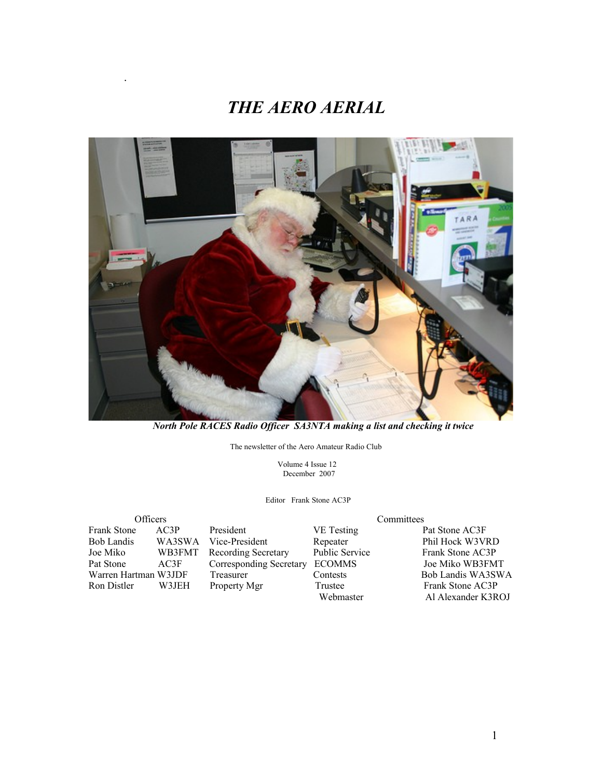## *THE AERO AERIAL*



 *North Pole RACES Radio Officer SA3NTA making a list and checking it twice*

The newsletter of the Aero Amateur Radio Club

 Volume 4 Issue 12 December 2007

Editor Frank Stone AC3P

Frank Stone AC3P President VE Testing Pat Stone AC3F<br>
Bob Landis WA3SWA Vice-President Repeater Phil Hock W3VI Joe Miko WB3FMT Recording Secretary Public Service Frank Stone AC3P Warren Hartman W3JDF Ron Distler W3JEH Property Mgr Trustee Frank Stone AC3P

.

Officers<br>
Committees<br>
Frank Stone AC3P President<br>
President<br>
Committees<br>
Committees Corresponding Secretary ECOMMS Joe Miko WB3FMT<br>
Treasurer Contests Bob Landis WA3SWA

Repeater Phil Hock W3VRD<br>Public Service Frank Stone AC3P Webmaster Al Alexander K3ROJ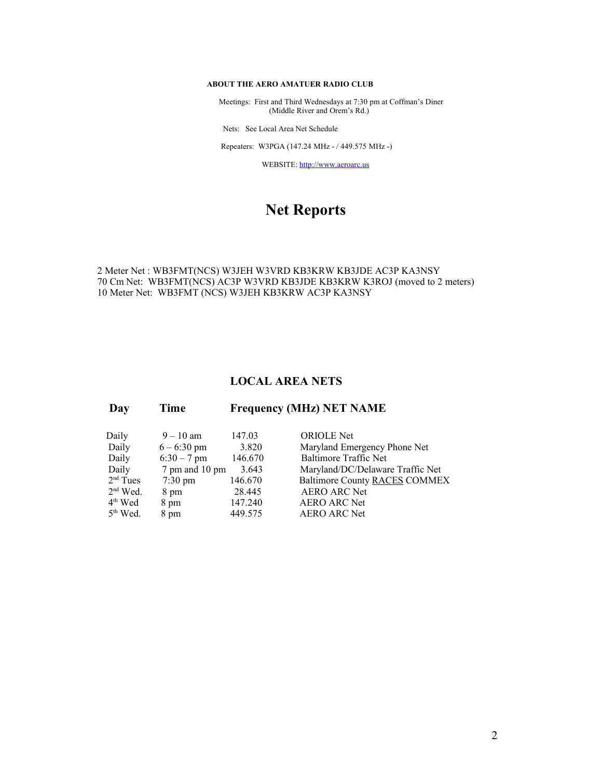#### **ABOUT THE AERO AMATUER RADIO CLUB**

 Meetings: First and Third Wednesdays at 7:30 pm at Coffman's Diner (Middle River and Orem's Rd.)

Nets: See Local Area Net Schedule

Repeaters: W3PGA (147.24 MHz - / 449.575 MHz -)

WEBSITE: [http://www.aeroarc.us](http://www.aeroarc.us/)

## **Net Reports**

#### 2 Meter Net : WB3FMT(NCS) W3JEH W3VRD KB3KRW KB3JDE AC3P KA3NSY 70 Cm Net: WB3FMT(NCS) AC3P W3VRD KB3JDE KB3KRW K3ROJ (moved to 2 meters) 10 Meter Net: WB3FMT (NCS) W3JEH KB3KRW AC3P KA3NSY

#### **LOCAL AREA NETS**

| Daily      | $9 - 10$ am       | 147.03  | <b>ORIOLE</b> Net                    |
|------------|-------------------|---------|--------------------------------------|
| Daily      | $6 - 6:30$ pm     | 3.820   | Maryland Emergency Phone Net         |
| Daily      | $6:30 - 7$ pm     | 146.670 | <b>Baltimore Traffic Net</b>         |
| Daily      | 7 pm and 10 pm    | 3.643   | Maryland/DC/Delaware Traffic Net     |
| $2nd$ Tues | $7:30 \text{ pm}$ | 146.670 | <b>Baltimore County RACES COMMEX</b> |
| $2nd$ Wed. | 8 pm              | 28.445  | <b>AERO ARC Net</b>                  |
| $4th$ Wed  | 8 pm              | 147.240 | <b>AERO ARC Net</b>                  |
| $5th$ Wed. | 8 pm              | 449.575 | <b>AERO ARC Net</b>                  |
|            |                   |         |                                      |

 **Day Time Frequency (MHz) NET NAME**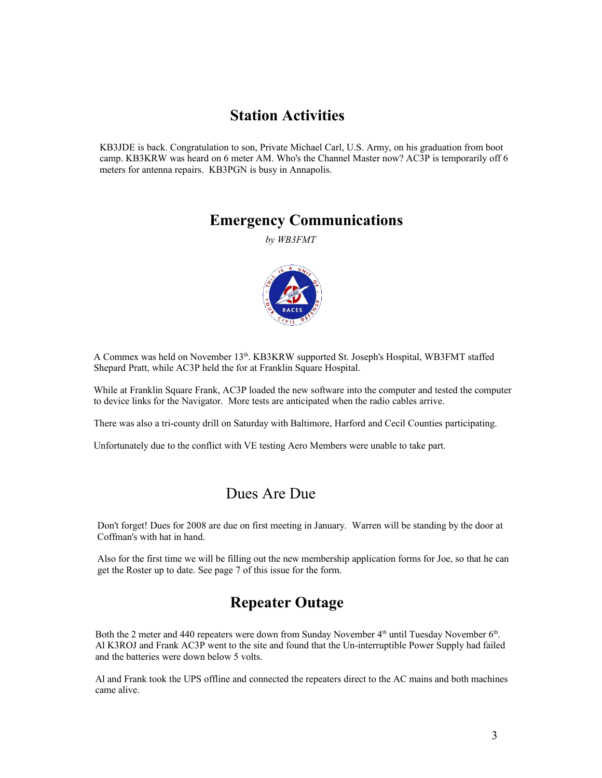### **Station Activities**

KB3JDE is back. Congratulation to son, Private Michael Carl, U.S. Army, on his graduation from boot camp. KB3KRW was heard on 6 meter AM. Who's the Channel Master now? AC3P is temporarily off 6 meters for antenna repairs. KB3PGN is busy in Annapolis.

### **Emergency Communications**

*by WB3FMT*



A Commex was held on November 13<sup>th</sup>. KB3KRW supported St. Joseph's Hospital, WB3FMT staffed Shepard Pratt, while AC3P held the for at Franklin Square Hospital.

While at Franklin Square Frank, AC3P loaded the new software into the computer and tested the computer to device links for the Navigator. More tests are anticipated when the radio cables arrive.

There was also a tri-county drill on Saturday with Baltimore, Harford and Cecil Counties participating.

Unfortunately due to the conflict with VE testing Aero Members were unable to take part.

### Dues Are Due

Don't forget! Dues for 2008 are due on first meeting in January. Warren will be standing by the door at Coffman's with hat in hand.

Also for the first time we will be filling out the new membership application forms for Joe, so that he can get the Roster up to date. See page 7 of this issue for the form.

## **Repeater Outage**

Both the 2 meter and 440 repeaters were down from Sunday November  $4<sup>th</sup>$  until Tuesday November  $6<sup>th</sup>$ . Al K3ROJ and Frank AC3P went to the site and found that the Un-interruptible Power Supply had failed and the batteries were down below 5 volts.

Al and Frank took the UPS offline and connected the repeaters direct to the AC mains and both machines came alive.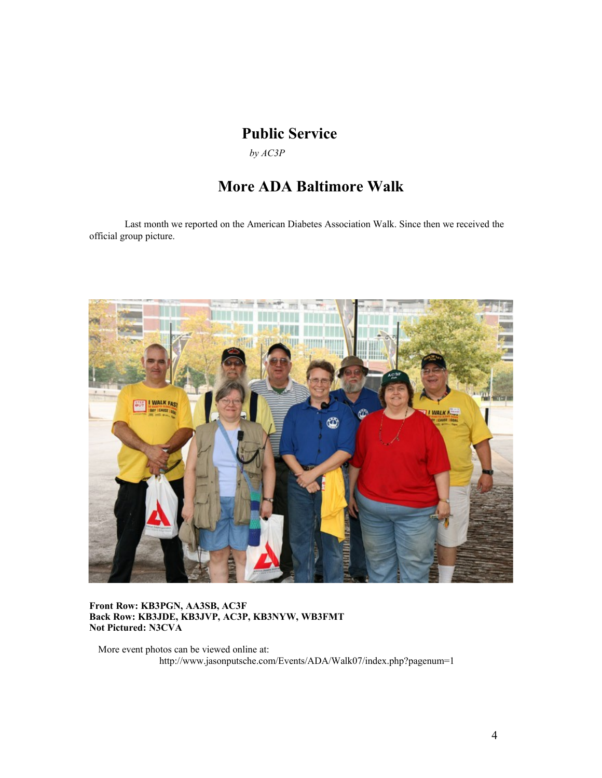## **Public Service**

*by AC3P*

## **More ADA Baltimore Walk**

Last month we reported on the American Diabetes Association Walk. Since then we received the official group picture.



#### **Front Row: KB3PGN, AA3SB, AC3F Back Row: KB3JDE, KB3JVP, AC3P, KB3NYW, WB3FMT Not Pictured: N3CVA**

More event photos can be viewed online at: http://www.jasonputsche.com/Events/ADA/Walk07/index.php?pagenum=1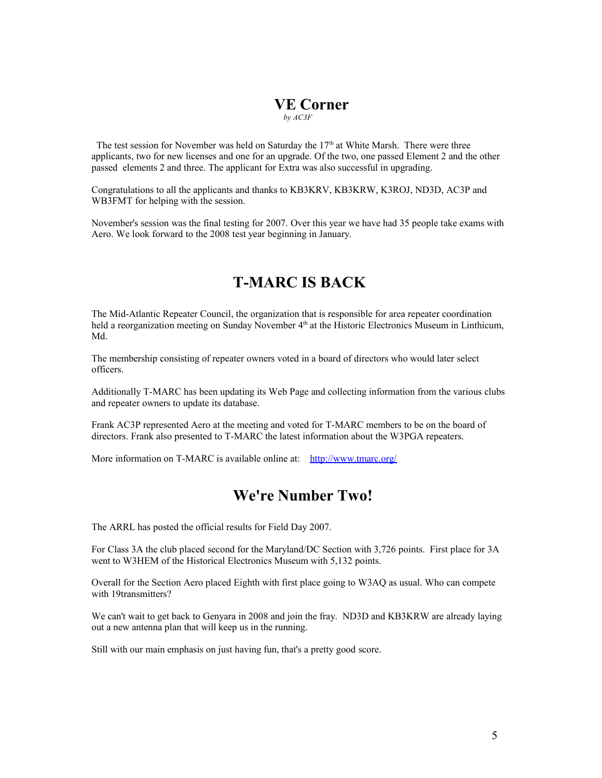### **VE Corner**  *by AC3F*

The test session for November was held on Saturday the  $17<sup>th</sup>$  at White Marsh. There were three applicants, two for new licenses and one for an upgrade. Of the two, one passed Element 2 and the other passed elements 2 and three. The applicant for Extra was also successful in upgrading.

Congratulations to all the applicants and thanks to KB3KRV, KB3KRW, K3ROJ, ND3D, AC3P and WB3FMT for helping with the session.

November's session was the final testing for 2007. Over this year we have had 35 people take exams with Aero. We look forward to the 2008 test year beginning in January.

## **T-MARC IS BACK**

The Mid-Atlantic Repeater Council, the organization that is responsible for area repeater coordination held a reorganization meeting on Sunday November 4<sup>th</sup> at the Historic Electronics Museum in Linthicum, Md.

The membership consisting of repeater owners voted in a board of directors who would later select officers.

Additionally T-MARC has been updating its Web Page and collecting information from the various clubs and repeater owners to update its database.

Frank AC3P represented Aero at the meeting and voted for T-MARC members to be on the board of directors. Frank also presented to T-MARC the latest information about the W3PGA repeaters.

More information on T-MARC is available online at: <http://www.tmarc.org/>

### **We're Number Two!**

The ARRL has posted the official results for Field Day 2007.

For Class 3A the club placed second for the Maryland/DC Section with 3,726 points. First place for 3A went to W3HEM of the Historical Electronics Museum with 5,132 points.

Overall for the Section Aero placed Eighth with first place going to W3AQ as usual. Who can compete with 19transmitters?

We can't wait to get back to Genyara in 2008 and join the fray. ND3D and KB3KRW are already laying out a new antenna plan that will keep us in the running.

Still with our main emphasis on just having fun, that's a pretty good score.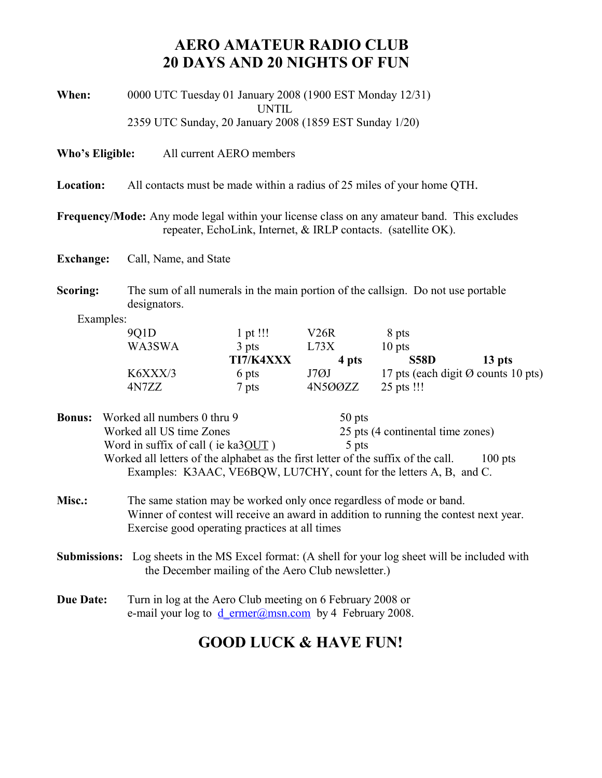## **AERO AMATEUR RADIO CLUB 20 DAYS AND 20 NIGHTS OF FUN**

| When: | 0000 UTC Tuesday 01 January 2008 (1900 EST Monday 12/31) |
|-------|----------------------------------------------------------|
|       | UNTIL                                                    |
|       | 2359 UTC Sunday, 20 January 2008 (1859 EST Sunday 1/20)  |

**Who's Eligible:** All current AERO members

**Location:** All contacts must be made within a radius of 25 miles of your home QTH.

**Frequency/Mode:** Any mode legal within your license class on any amateur band. This excludes repeater, EchoLink, Internet, & IRLP contacts. (satellite OK).

**Exchange:** Call, Name, and State

**Scoring:** The sum of all numerals in the main portion of the callsign. Do not use portable designators.

Examples:

| 901 <sub>D</sub> | $1$ pt !!!   | V26R    | 8 pts       |                                               |
|------------------|--------------|---------|-------------|-----------------------------------------------|
| WA3SWA           | 3 pts        | L73X    | $10$ pts    |                                               |
|                  | TI7/K4XXX    | 4 pts   | <b>S58D</b> | 13 pts                                        |
| K6XXX/3          | 6 pts        | J7ØJ    |             | 17 pts (each digit $\emptyset$ counts 10 pts) |
| 4N7ZZ            | $\sigma$ pts | 4N5ØØZZ | 25 pts !!!  |                                               |

**Bonus:** Worked all numbers 0 thru 9 50 pts Worked all US time Zones 25 pts (4 continental time zones) Word in suffix of call ( ie ka $30UT$  ) 5 pts Worked all letters of the alphabet as the first letter of the suffix of the call. 100 pts Examples: K3AAC, VE6BQW, LU7CHY, count for the letters A, B, and C.

- **Misc.:** The same station may be worked only once regardless of mode or band. Winner of contest will receive an award in addition to running the contest next year. Exercise good operating practices at all times
- **Submissions:** Log sheets in the MS Excel format: (A shell for your log sheet will be included with the December mailing of the Aero Club newsletter.)
- **Due Date:** Turn in log at the Aero Club meeting on 6 February 2008 or e-mail your log to  $d$  ermer@msn.com by 4 February 2008.

## **GOOD LUCK & HAVE FUN!**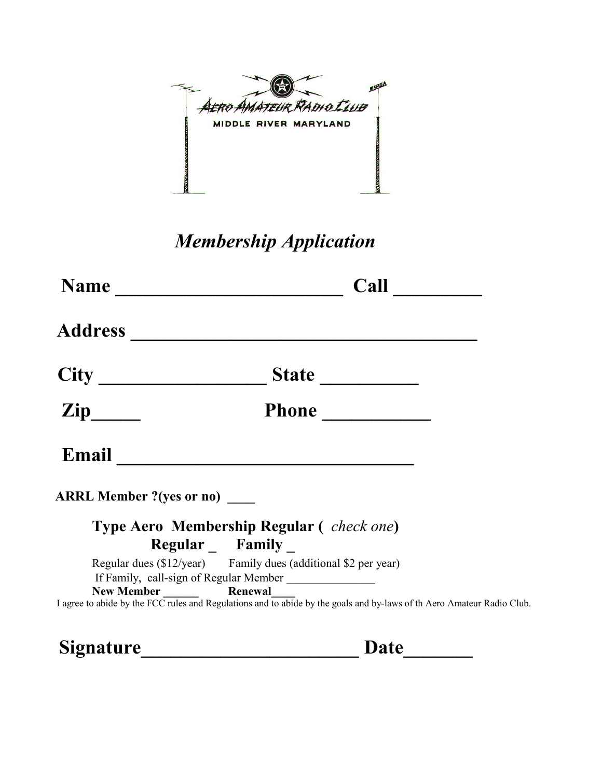

## *Membership Application*

| <b>Name</b>                     | Call                                                                                                                   |  |
|---------------------------------|------------------------------------------------------------------------------------------------------------------------|--|
| <b>Address</b>                  |                                                                                                                        |  |
|                                 |                                                                                                                        |  |
| <b>Zip</b>                      | Phone                                                                                                                  |  |
|                                 | Email <u>___________________</u>                                                                                       |  |
| <b>ARRL Member ?(yes or no)</b> |                                                                                                                        |  |
|                                 | <b>Type Aero Membership Regular (check one)</b>                                                                        |  |
|                                 | Regular _ Family _                                                                                                     |  |
|                                 | Regular dues (\$12/year) Family dues (additional \$2 per year)                                                         |  |
|                                 | If Family, call-sign of Regular Member _______________                                                                 |  |
|                                 | I agree to abide by the FCC rules and Regulations and to abide by the goals and by-laws of th Aero Amateur Radio Club. |  |
|                                 |                                                                                                                        |  |

**Signature\_\_\_\_\_\_\_\_\_\_\_\_\_\_\_\_\_\_\_\_\_\_ Date\_\_\_\_\_\_\_**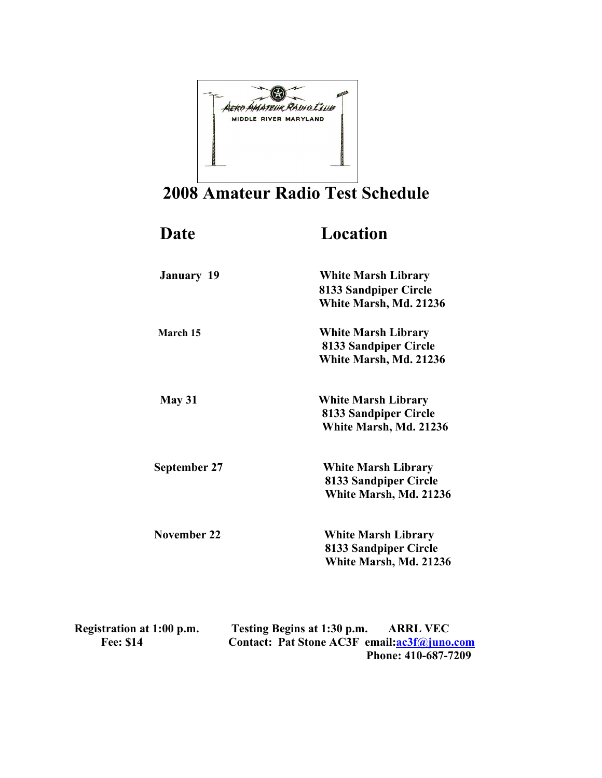

## **2008 Amateur Radio Test Schedule**

| Date                | Location                   |
|---------------------|----------------------------|
| <b>January 19</b>   | <b>White Marsh Library</b> |
|                     | 8133 Sandpiper Circle      |
|                     | White Marsh, Md. 21236     |
| March 15            | <b>White Marsh Library</b> |
|                     | 8133 Sandpiper Circle      |
|                     | White Marsh, Md. 21236     |
| May 31              | <b>White Marsh Library</b> |
|                     | 8133 Sandpiper Circle      |
|                     | White Marsh, Md. 21236     |
| <b>September 27</b> | <b>White Marsh Library</b> |
|                     | 8133 Sandpiper Circle      |
|                     | White Marsh, Md. 21236     |
| November 22         | <b>White Marsh Library</b> |
|                     | 8133 Sandpiper Circle      |
|                     | White Marsh, Md. 21236     |
|                     |                            |

| Registration at 1:00 p.m. | Testing Begins at 1:30 p.m. | <b>ARRL VEC</b>                             |
|---------------------------|-----------------------------|---------------------------------------------|
| <b>Fee: \$14</b>          |                             | Contact: Pat Stone AC3F email:ac3f@juno.com |
|                           |                             | Phone: 410-687-7209                         |